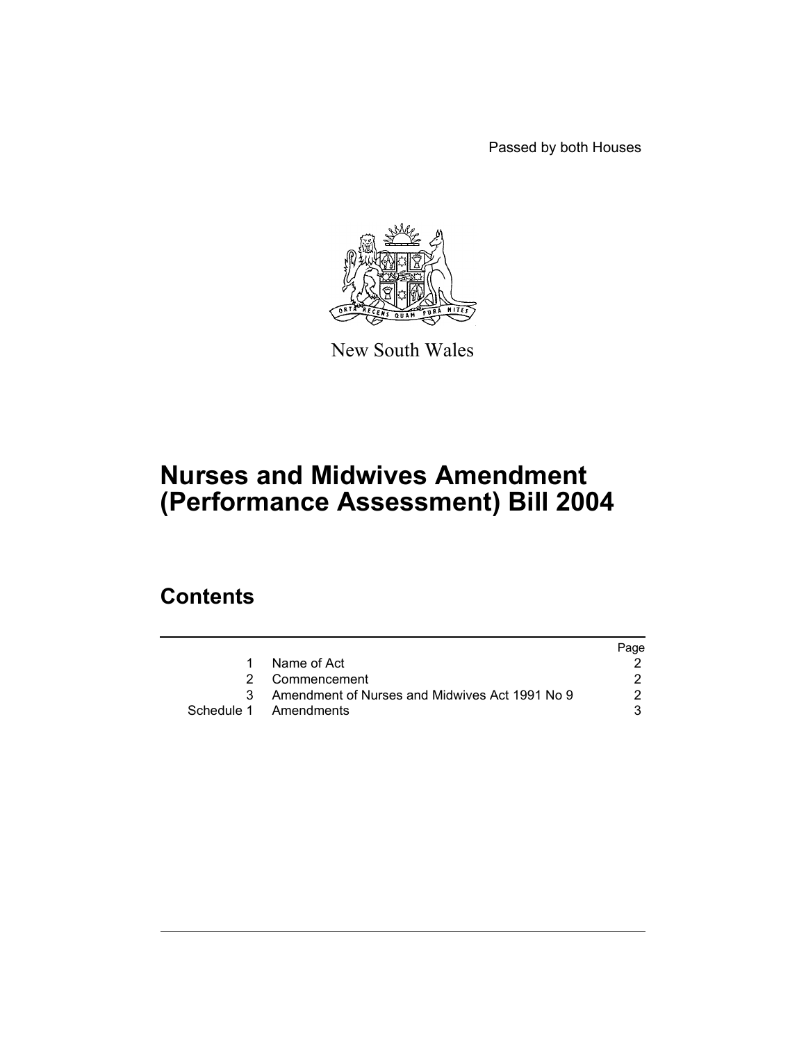Passed by both Houses



New South Wales

# **Nurses and Midwives Amendment (Performance Assessment) Bill 2004**

# **Contents**

|    |                                                | Page |
|----|------------------------------------------------|------|
|    | Name of Act                                    |      |
| 2  | Commencement                                   |      |
| 3. | Amendment of Nurses and Midwives Act 1991 No 9 |      |
|    | Schedule 1 Amendments                          |      |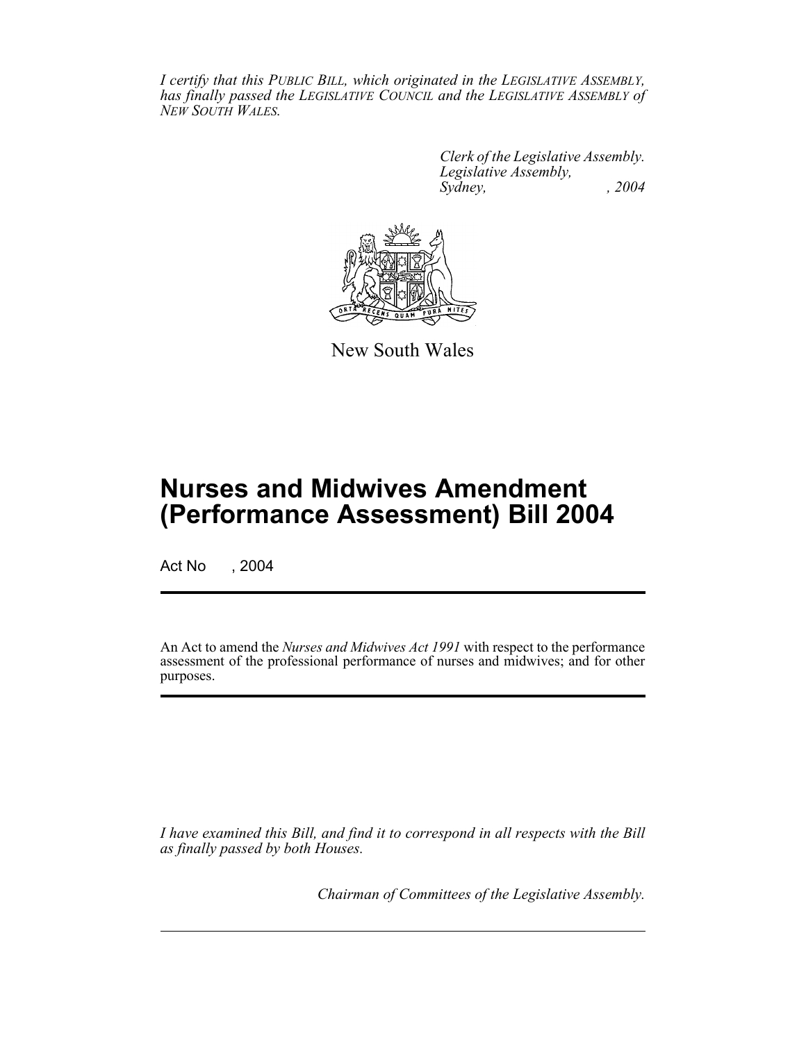*I certify that this PUBLIC BILL, which originated in the LEGISLATIVE ASSEMBLY, has finally passed the LEGISLATIVE COUNCIL and the LEGISLATIVE ASSEMBLY of NEW SOUTH WALES.*

> *Clerk of the Legislative Assembly. Legislative Assembly, Sydney, , 2004*



New South Wales

# **Nurses and Midwives Amendment (Performance Assessment) Bill 2004**

Act No , 2004

An Act to amend the *Nurses and Midwives Act 1991* with respect to the performance assessment of the professional performance of nurses and midwives; and for other purposes.

*I have examined this Bill, and find it to correspond in all respects with the Bill as finally passed by both Houses.*

*Chairman of Committees of the Legislative Assembly.*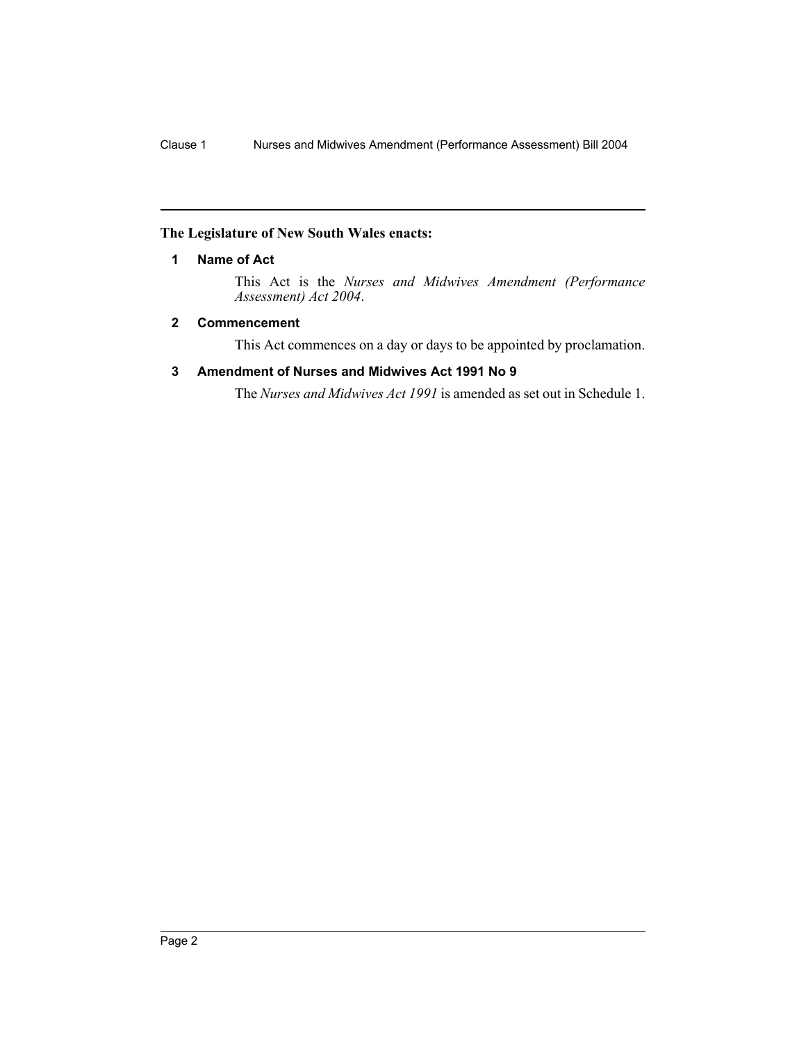## **The Legislature of New South Wales enacts:**

## **1 Name of Act**

This Act is the *Nurses and Midwives Amendment (Performance Assessment) Act 2004*.

## **2 Commencement**

This Act commences on a day or days to be appointed by proclamation.

## **3 Amendment of Nurses and Midwives Act 1991 No 9**

The *Nurses and Midwives Act 1991* is amended as set out in Schedule 1.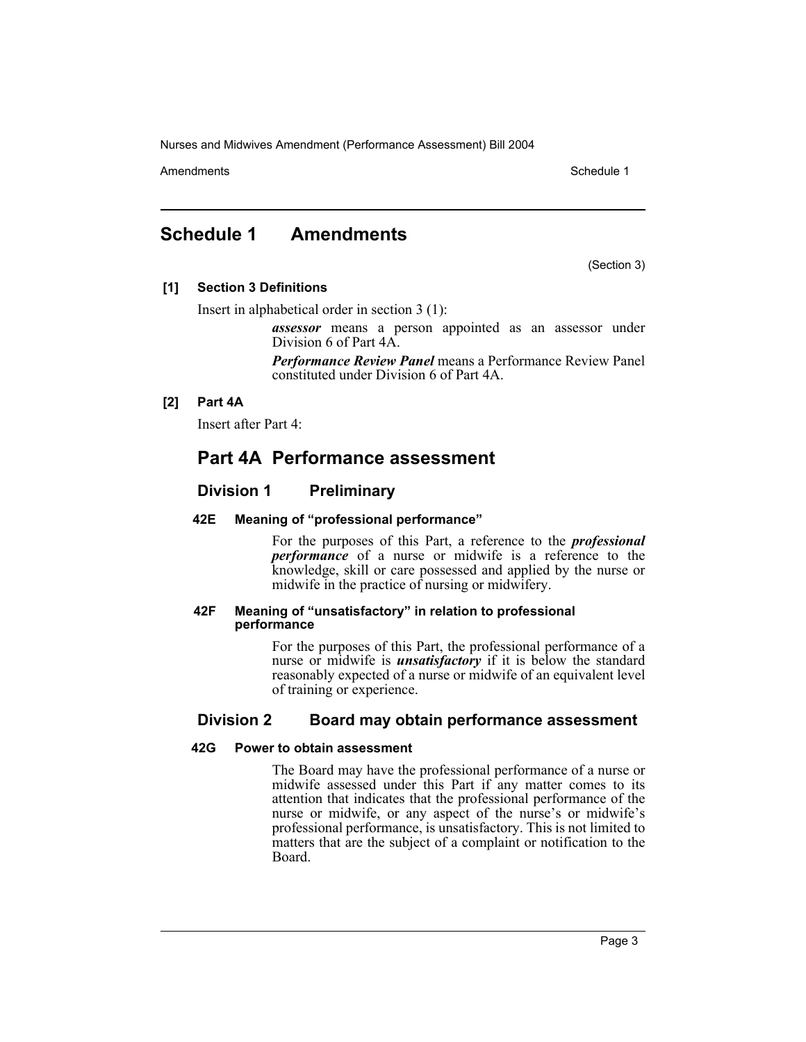Amendments **Amendments** Schedule 1

# **Schedule 1 Amendments**

(Section 3)

## **[1] Section 3 Definitions**

Insert in alphabetical order in section 3 (1):

*assessor* means a person appointed as an assessor under Division 6 of Part 4A.

*Performance Review Panel* means a Performance Review Panel constituted under Division 6 of Part 4A.

## **[2] Part 4A**

Insert after Part 4:

## **Part 4A Performance assessment**

## **Division 1 Preliminary**

## **42E Meaning of "professional performance"**

For the purposes of this Part, a reference to the *professional performance* of a nurse or midwife is a reference to the knowledge, skill or care possessed and applied by the nurse or midwife in the practice of nursing or midwifery.

#### **42F Meaning of "unsatisfactory" in relation to professional performance**

For the purposes of this Part, the professional performance of a nurse or midwife is *unsatisfactory* if it is below the standard reasonably expected of a nurse or midwife of an equivalent level of training or experience.

## **Division 2 Board may obtain performance assessment**

## **42G Power to obtain assessment**

The Board may have the professional performance of a nurse or midwife assessed under this Part if any matter comes to its attention that indicates that the professional performance of the nurse or midwife, or any aspect of the nurse's or midwife's professional performance, is unsatisfactory. This is not limited to matters that are the subject of a complaint or notification to the Board.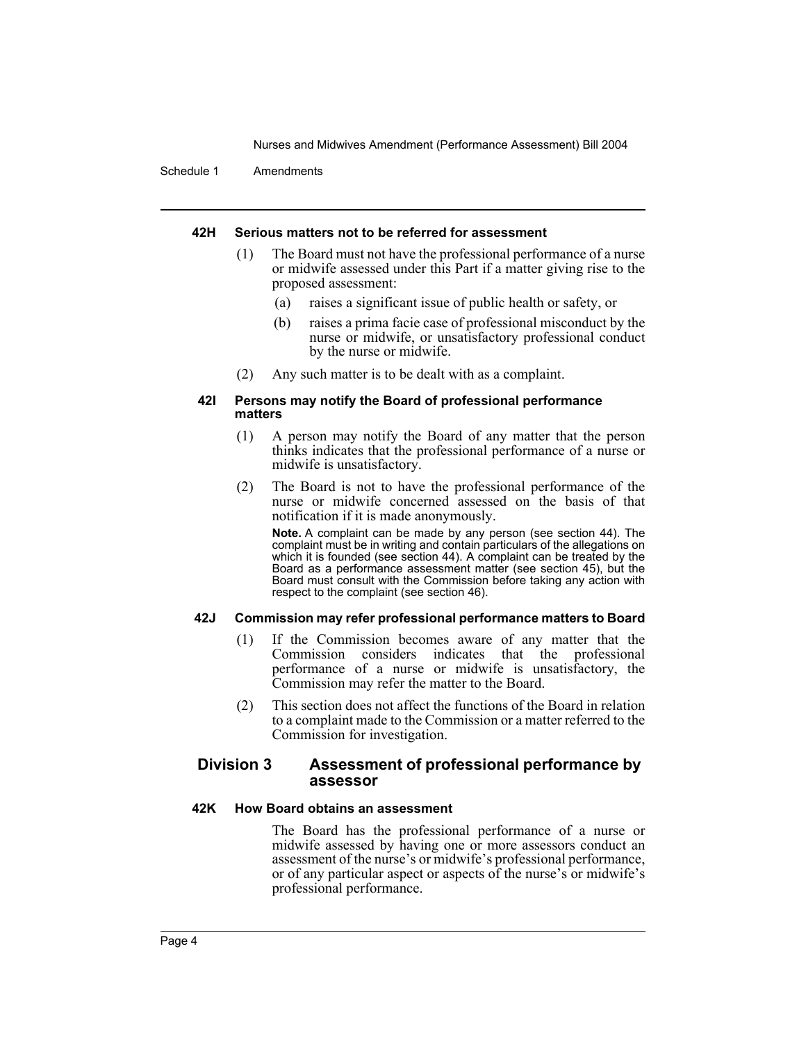Schedule 1 Amendments

## **42H Serious matters not to be referred for assessment**

- (1) The Board must not have the professional performance of a nurse or midwife assessed under this Part if a matter giving rise to the proposed assessment:
	- (a) raises a significant issue of public health or safety, or
	- (b) raises a prima facie case of professional misconduct by the nurse or midwife, or unsatisfactory professional conduct by the nurse or midwife.
- (2) Any such matter is to be dealt with as a complaint.

#### **42I Persons may notify the Board of professional performance matters**

- (1) A person may notify the Board of any matter that the person thinks indicates that the professional performance of a nurse or midwife is unsatisfactory.
- (2) The Board is not to have the professional performance of the nurse or midwife concerned assessed on the basis of that notification if it is made anonymously.

**Note.** A complaint can be made by any person (see section 44). The complaint must be in writing and contain particulars of the allegations on which it is founded (see section 44). A complaint can be treated by the Board as a performance assessment matter (see section 45), but the Board must consult with the Commission before taking any action with respect to the complaint (see section 46).

## **42J Commission may refer professional performance matters to Board**

- (1) If the Commission becomes aware of any matter that the Commission considers indicates that the professional performance of a nurse or midwife is unsatisfactory, the Commission may refer the matter to the Board.
- (2) This section does not affect the functions of the Board in relation to a complaint made to the Commission or a matter referred to the Commission for investigation.

## **Division 3 Assessment of professional performance by assessor**

#### **42K How Board obtains an assessment**

The Board has the professional performance of a nurse or midwife assessed by having one or more assessors conduct an assessment of the nurse's or midwife's professional performance, or of any particular aspect or aspects of the nurse's or midwife's professional performance.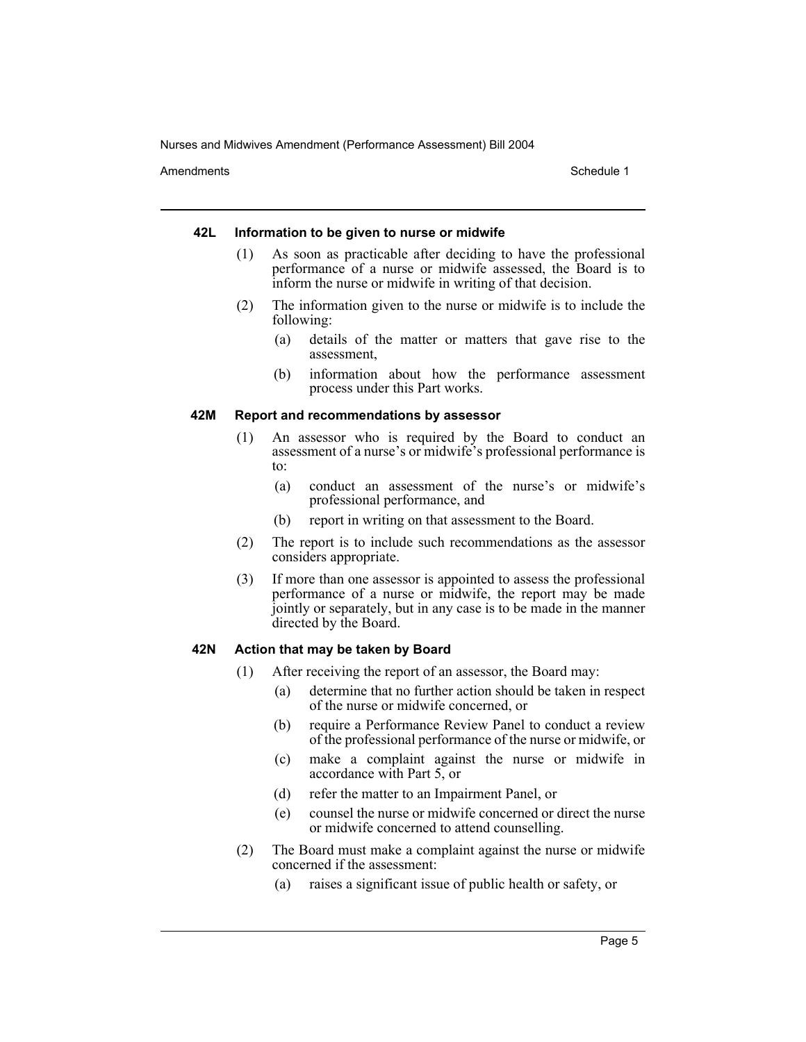Amendments **Schedule 1** and the set of the set of the set of the set of the set of the set of the set of the set of the set of the set of the set of the set of the set of the set of the set of the set of the set of the set

#### **42L Information to be given to nurse or midwife**

- (1) As soon as practicable after deciding to have the professional performance of a nurse or midwife assessed, the Board is to inform the nurse or midwife in writing of that decision.
- (2) The information given to the nurse or midwife is to include the following:
	- (a) details of the matter or matters that gave rise to the assessment,
	- (b) information about how the performance assessment process under this Part works.

#### **42M Report and recommendations by assessor**

- (1) An assessor who is required by the Board to conduct an assessment of a nurse's or midwife's professional performance is to:
	- (a) conduct an assessment of the nurse's or midwife's professional performance, and
	- (b) report in writing on that assessment to the Board.
- (2) The report is to include such recommendations as the assessor considers appropriate.
- (3) If more than one assessor is appointed to assess the professional performance of a nurse or midwife, the report may be made jointly or separately, but in any case is to be made in the manner directed by the Board.

#### **42N Action that may be taken by Board**

- (1) After receiving the report of an assessor, the Board may:
	- (a) determine that no further action should be taken in respect of the nurse or midwife concerned, or
	- (b) require a Performance Review Panel to conduct a review of the professional performance of the nurse or midwife, or
	- (c) make a complaint against the nurse or midwife in accordance with Part 5, or
	- (d) refer the matter to an Impairment Panel, or
	- (e) counsel the nurse or midwife concerned or direct the nurse or midwife concerned to attend counselling.
- (2) The Board must make a complaint against the nurse or midwife concerned if the assessment:
	- (a) raises a significant issue of public health or safety, or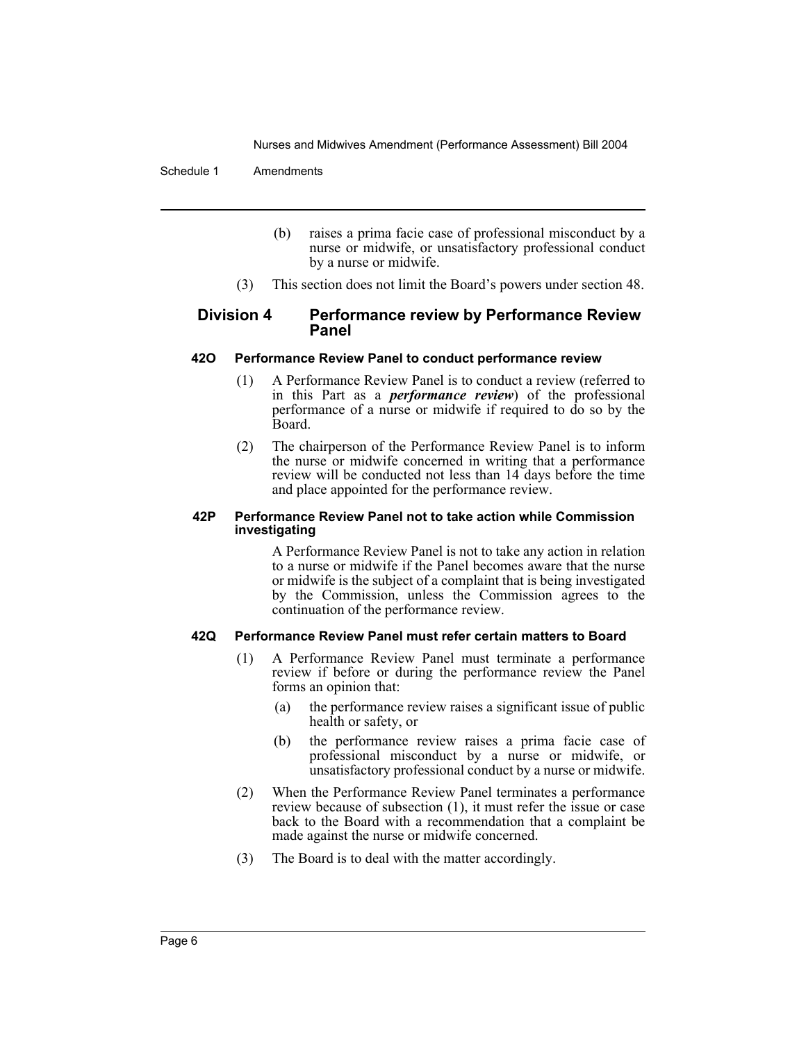Schedule 1 Amendments

- (b) raises a prima facie case of professional misconduct by a nurse or midwife, or unsatisfactory professional conduct by a nurse or midwife.
- (3) This section does not limit the Board's powers under section 48.

## **Division 4 Performance review by Performance Review Panel**

## **42O Performance Review Panel to conduct performance review**

- (1) A Performance Review Panel is to conduct a review (referred to in this Part as a *performance review*) of the professional performance of a nurse or midwife if required to do so by the Board.
- (2) The chairperson of the Performance Review Panel is to inform the nurse or midwife concerned in writing that a performance review will be conducted not less than 14 days before the time and place appointed for the performance review.

#### **42P Performance Review Panel not to take action while Commission investigating**

A Performance Review Panel is not to take any action in relation to a nurse or midwife if the Panel becomes aware that the nurse or midwife is the subject of a complaint that is being investigated by the Commission, unless the Commission agrees to the continuation of the performance review.

## **42Q Performance Review Panel must refer certain matters to Board**

- (1) A Performance Review Panel must terminate a performance review if before or during the performance review the Panel forms an opinion that:
	- (a) the performance review raises a significant issue of public health or safety, or
	- (b) the performance review raises a prima facie case of professional misconduct by a nurse or midwife, or unsatisfactory professional conduct by a nurse or midwife.
- (2) When the Performance Review Panel terminates a performance review because of subsection (1), it must refer the issue or case back to the Board with a recommendation that a complaint be made against the nurse or midwife concerned.
- (3) The Board is to deal with the matter accordingly.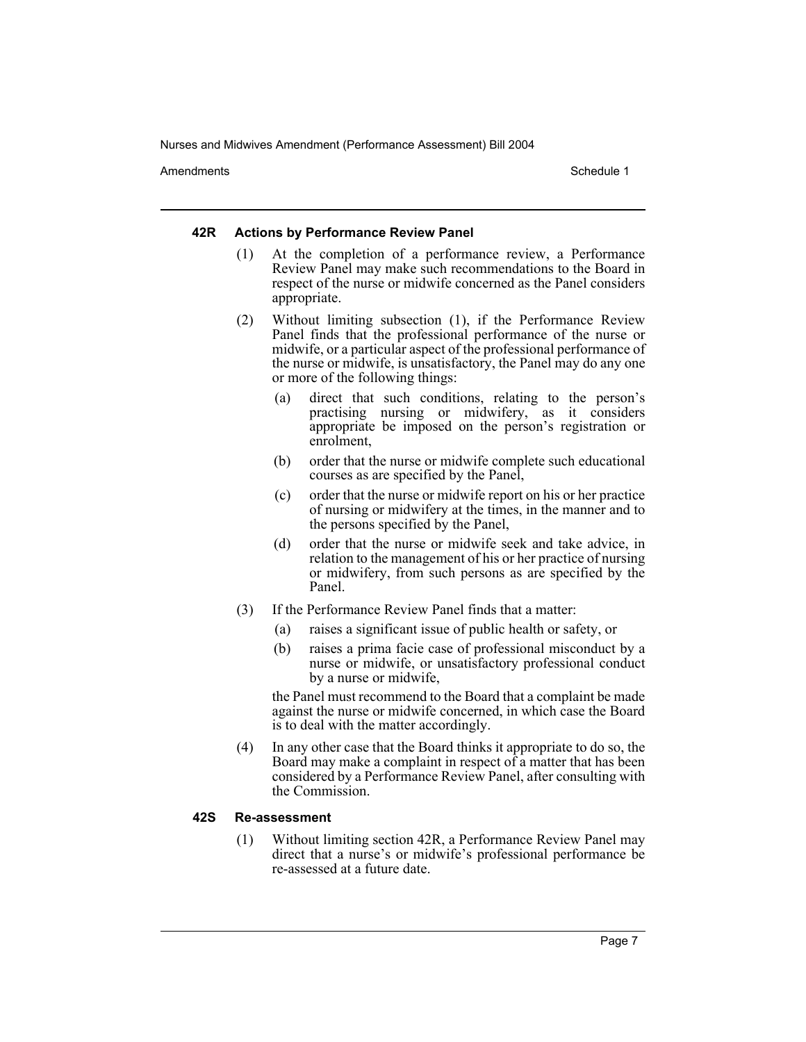Amendments **Schedule 1** and the set of the set of the set of the set of the set of the set of the set of the set of the set of the set of the set of the set of the set of the set of the set of the set of the set of the set

#### **42R Actions by Performance Review Panel**

- (1) At the completion of a performance review, a Performance Review Panel may make such recommendations to the Board in respect of the nurse or midwife concerned as the Panel considers appropriate.
- (2) Without limiting subsection (1), if the Performance Review Panel finds that the professional performance of the nurse or midwife, or a particular aspect of the professional performance of the nurse or midwife, is unsatisfactory, the Panel may do any one or more of the following things:
	- (a) direct that such conditions, relating to the person's practising nursing or midwifery, as it considers appropriate be imposed on the person's registration or enrolment,
	- (b) order that the nurse or midwife complete such educational courses as are specified by the Panel,
	- (c) order that the nurse or midwife report on his or her practice of nursing or midwifery at the times, in the manner and to the persons specified by the Panel,
	- (d) order that the nurse or midwife seek and take advice, in relation to the management of his or her practice of nursing or midwifery, from such persons as are specified by the Panel.
- (3) If the Performance Review Panel finds that a matter:
	- (a) raises a significant issue of public health or safety, or
	- (b) raises a prima facie case of professional misconduct by a nurse or midwife, or unsatisfactory professional conduct by a nurse or midwife,

the Panel must recommend to the Board that a complaint be made against the nurse or midwife concerned, in which case the Board is to deal with the matter accordingly.

(4) In any other case that the Board thinks it appropriate to do so, the Board may make a complaint in respect of a matter that has been considered by a Performance Review Panel, after consulting with the Commission.

## **42S Re-assessment**

(1) Without limiting section 42R, a Performance Review Panel may direct that a nurse's or midwife's professional performance be re-assessed at a future date.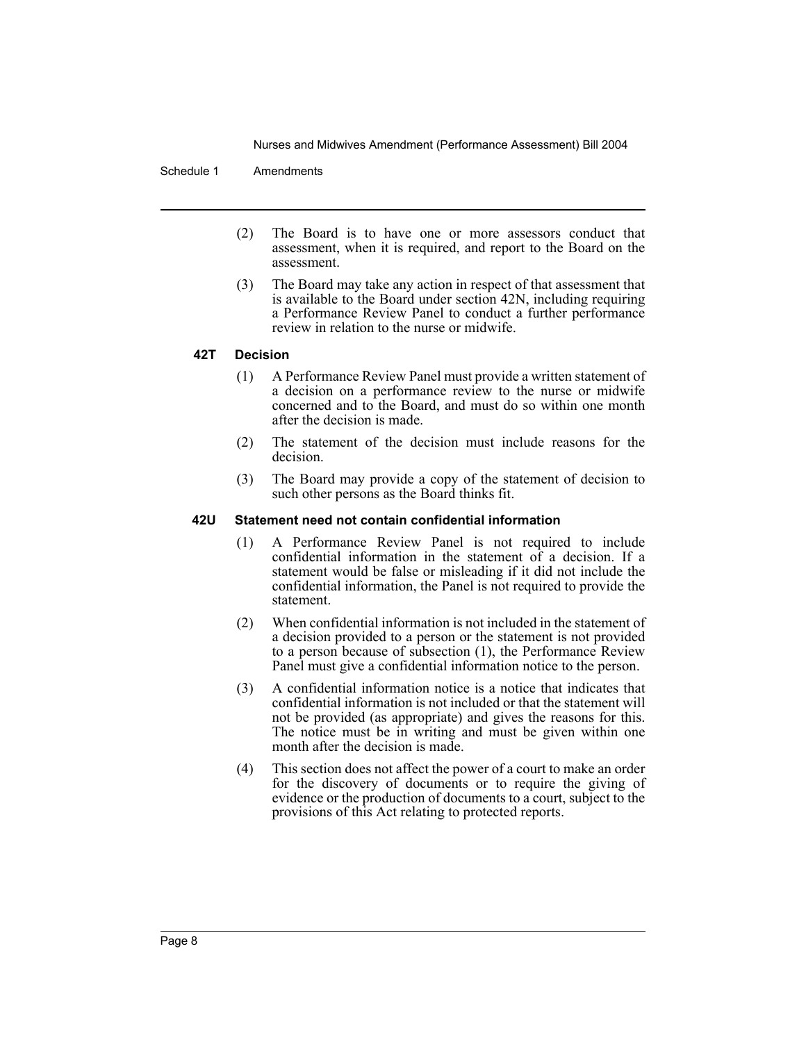#### Schedule 1 Amendments

- (2) The Board is to have one or more assessors conduct that assessment, when it is required, and report to the Board on the assessment.
- (3) The Board may take any action in respect of that assessment that is available to the Board under section 42N, including requiring a Performance Review Panel to conduct a further performance review in relation to the nurse or midwife.

#### **42T Decision**

- (1) A Performance Review Panel must provide a written statement of a decision on a performance review to the nurse or midwife concerned and to the Board, and must do so within one month after the decision is made.
- (2) The statement of the decision must include reasons for the decision.
- (3) The Board may provide a copy of the statement of decision to such other persons as the Board thinks fit.

#### **42U Statement need not contain confidential information**

- (1) A Performance Review Panel is not required to include confidential information in the statement of a decision. If a statement would be false or misleading if it did not include the confidential information, the Panel is not required to provide the statement.
- (2) When confidential information is not included in the statement of a decision provided to a person or the statement is not provided to a person because of subsection (1), the Performance Review Panel must give a confidential information notice to the person.
- (3) A confidential information notice is a notice that indicates that confidential information is not included or that the statement will not be provided (as appropriate) and gives the reasons for this. The notice must be in writing and must be given within one month after the decision is made.
- (4) This section does not affect the power of a court to make an order for the discovery of documents or to require the giving of evidence or the production of documents to a court, subject to the provisions of this Act relating to protected reports.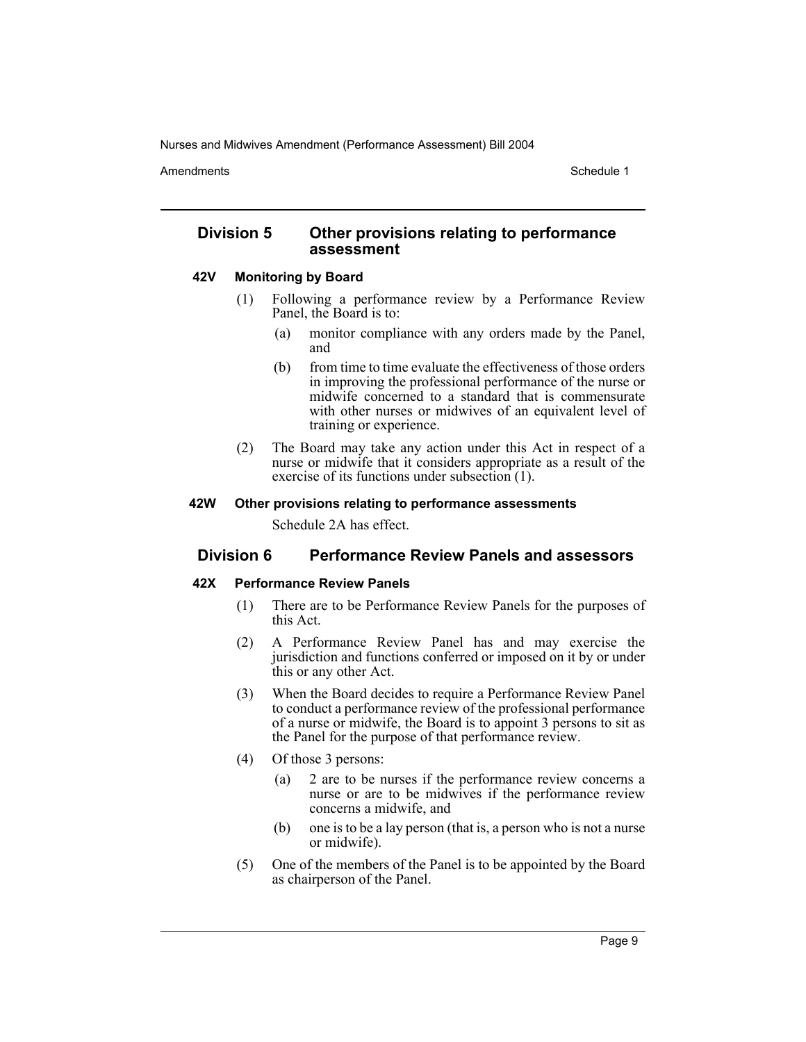Amendments **Schedule 1** and the set of the set of the set of the set of the set of the set of the set of the set of the set of the set of the set of the set of the set of the set of the set of the set of the set of the set

## **Division 5 Other provisions relating to performance assessment**

#### **42V Monitoring by Board**

- (1) Following a performance review by a Performance Review Panel, the Board is to:
	- (a) monitor compliance with any orders made by the Panel, and
	- (b) from time to time evaluate the effectiveness of those orders in improving the professional performance of the nurse or midwife concerned to a standard that is commensurate with other nurses or midwives of an equivalent level of training or experience.
- (2) The Board may take any action under this Act in respect of a nurse or midwife that it considers appropriate as a result of the exercise of its functions under subsection (1).

#### **42W Other provisions relating to performance assessments**

Schedule 2A has effect.

## **Division 6 Performance Review Panels and assessors**

#### **42X Performance Review Panels**

- (1) There are to be Performance Review Panels for the purposes of this Act.
- (2) A Performance Review Panel has and may exercise the jurisdiction and functions conferred or imposed on it by or under this or any other Act.
- (3) When the Board decides to require a Performance Review Panel to conduct a performance review of the professional performance of a nurse or midwife, the Board is to appoint 3 persons to sit as the Panel for the purpose of that performance review.
- (4) Of those 3 persons:
	- (a) 2 are to be nurses if the performance review concerns a nurse or are to be midwives if the performance review concerns a midwife, and
	- (b) one is to be a lay person (that is, a person who is not a nurse or midwife).
- (5) One of the members of the Panel is to be appointed by the Board as chairperson of the Panel.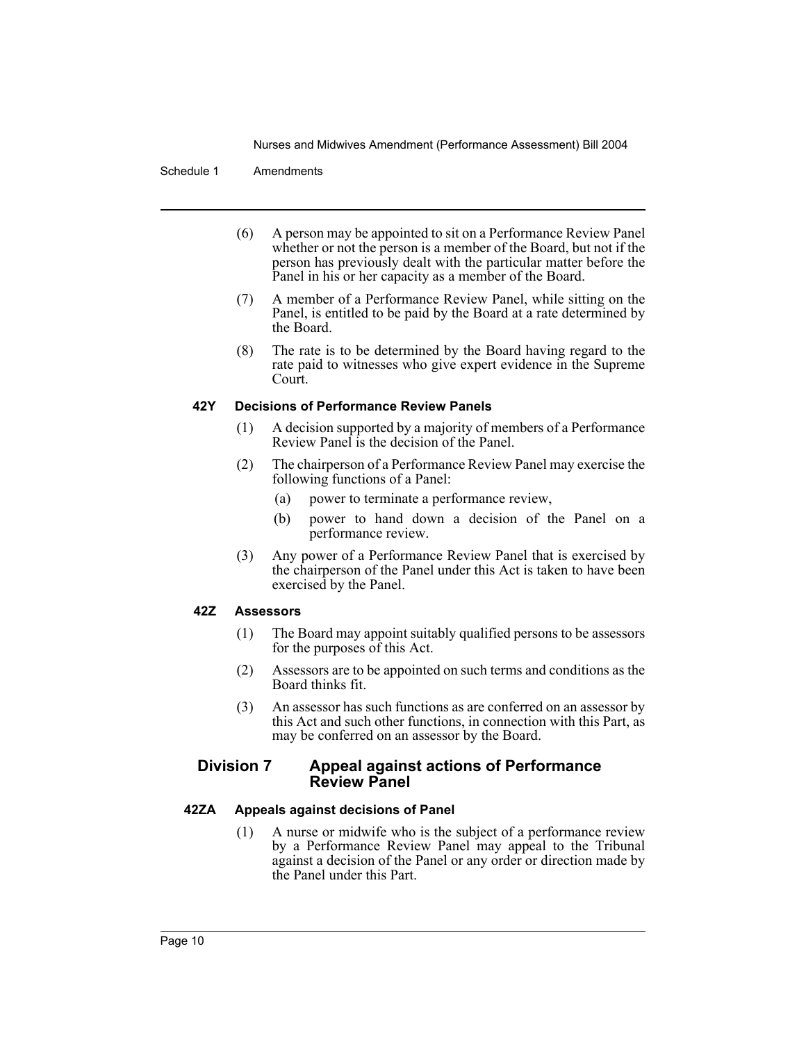#### Schedule 1 Amendments

- (6) A person may be appointed to sit on a Performance Review Panel whether or not the person is a member of the Board, but not if the person has previously dealt with the particular matter before the Panel in his or her capacity as a member of the Board.
- (7) A member of a Performance Review Panel, while sitting on the Panel, is entitled to be paid by the Board at a rate determined by the Board.
- (8) The rate is to be determined by the Board having regard to the rate paid to witnesses who give expert evidence in the Supreme Court.

## **42Y Decisions of Performance Review Panels**

- (1) A decision supported by a majority of members of a Performance Review Panel is the decision of the Panel.
- (2) The chairperson of a Performance Review Panel may exercise the following functions of a Panel:
	- (a) power to terminate a performance review,
	- (b) power to hand down a decision of the Panel on a performance review.
- (3) Any power of a Performance Review Panel that is exercised by the chairperson of the Panel under this Act is taken to have been exercised by the Panel.

#### **42Z Assessors**

- (1) The Board may appoint suitably qualified persons to be assessors for the purposes of this Act.
- (2) Assessors are to be appointed on such terms and conditions as the Board thinks fit.
- (3) An assessor has such functions as are conferred on an assessor by this Act and such other functions, in connection with this Part, as may be conferred on an assessor by the Board.

## **Division 7 Appeal against actions of Performance Review Panel**

## **42ZA Appeals against decisions of Panel**

(1) A nurse or midwife who is the subject of a performance review by a Performance Review Panel may appeal to the Tribunal against a decision of the Panel or any order or direction made by the Panel under this Part.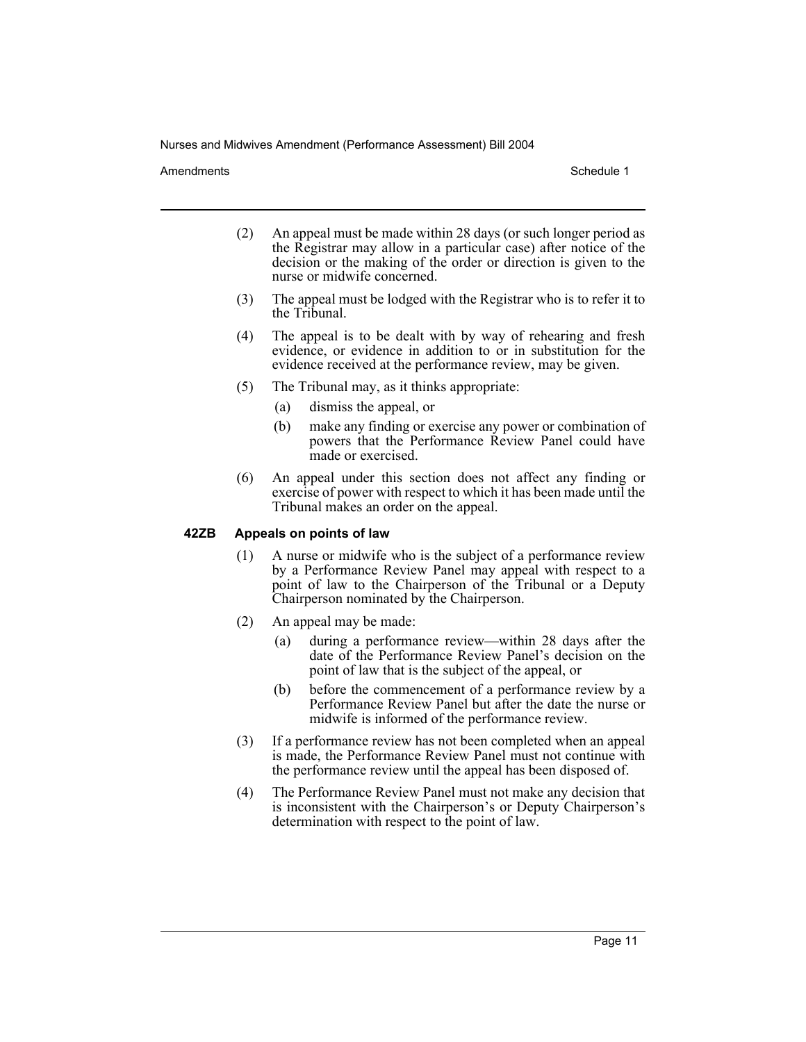Amendments **Schedule 1** and the set of the set of the set of the set of the set of the set of the set of the set of the set of the set of the set of the set of the set of the set of the set of the set of the set of the set

- (2) An appeal must be made within 28 days (or such longer period as the Registrar may allow in a particular case) after notice of the decision or the making of the order or direction is given to the nurse or midwife concerned.
- (3) The appeal must be lodged with the Registrar who is to refer it to the Tribunal.
- (4) The appeal is to be dealt with by way of rehearing and fresh evidence, or evidence in addition to or in substitution for the evidence received at the performance review, may be given.
- (5) The Tribunal may, as it thinks appropriate:
	- (a) dismiss the appeal, or
	- (b) make any finding or exercise any power or combination of powers that the Performance Review Panel could have made or exercised.
- (6) An appeal under this section does not affect any finding or exercise of power with respect to which it has been made until the Tribunal makes an order on the appeal.

#### **42ZB Appeals on points of law**

- (1) A nurse or midwife who is the subject of a performance review by a Performance Review Panel may appeal with respect to a point of law to the Chairperson of the Tribunal or a Deputy Chairperson nominated by the Chairperson.
- (2) An appeal may be made:
	- (a) during a performance review—within 28 days after the date of the Performance Review Panel's decision on the point of law that is the subject of the appeal, or
	- (b) before the commencement of a performance review by a Performance Review Panel but after the date the nurse or midwife is informed of the performance review.
- (3) If a performance review has not been completed when an appeal is made, the Performance Review Panel must not continue with the performance review until the appeal has been disposed of.
- (4) The Performance Review Panel must not make any decision that is inconsistent with the Chairperson's or Deputy Chairperson's determination with respect to the point of law.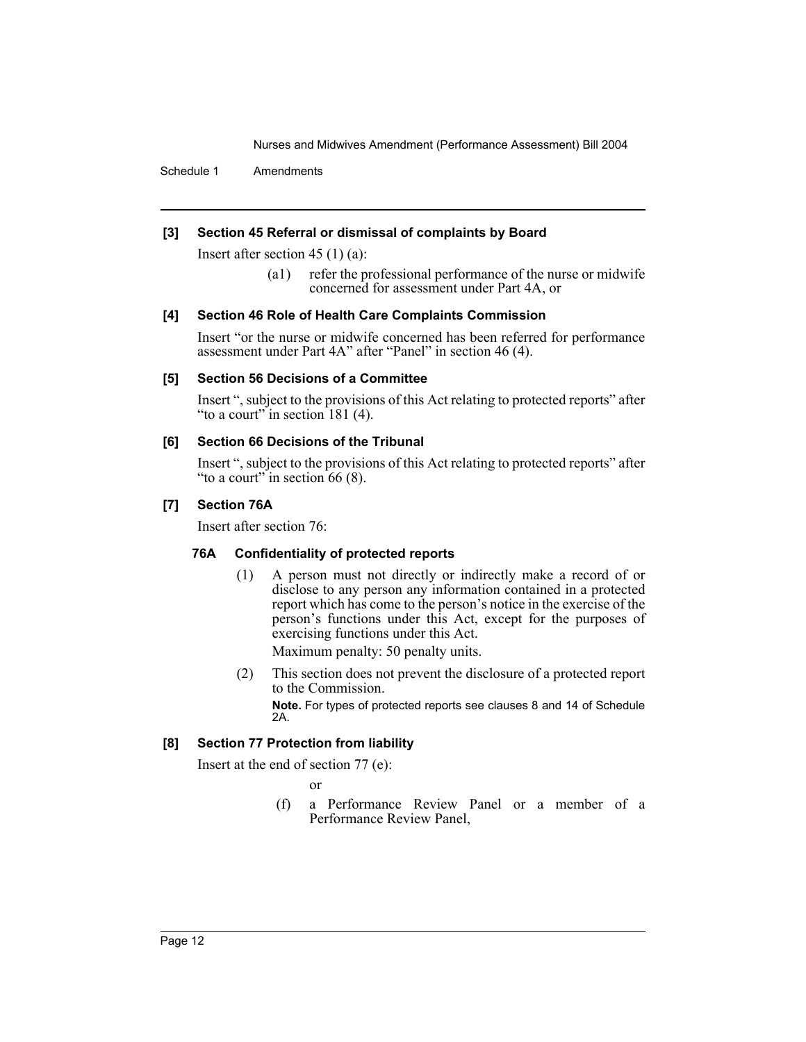Schedule 1 Amendments

## **[3] Section 45 Referral or dismissal of complaints by Board**

Insert after section 45 (1) (a):

(a1) refer the professional performance of the nurse or midwife concerned for assessment under Part 4A, or

## **[4] Section 46 Role of Health Care Complaints Commission**

Insert "or the nurse or midwife concerned has been referred for performance assessment under Part 4A" after "Panel" in section 46 (4).

## **[5] Section 56 Decisions of a Committee**

Insert ", subject to the provisions of this Act relating to protected reports" after "to a court" in section 181 (4).

## **[6] Section 66 Decisions of the Tribunal**

Insert ", subject to the provisions of this Act relating to protected reports" after "to a court" in section  $66(8)$ .

## **[7] Section 76A**

Insert after section 76:

## **76A Confidentiality of protected reports**

(1) A person must not directly or indirectly make a record of or disclose to any person any information contained in a protected report which has come to the person's notice in the exercise of the person's functions under this Act, except for the purposes of exercising functions under this Act.

Maximum penalty: 50 penalty units.

(2) This section does not prevent the disclosure of a protected report to the Commission.

**Note.** For types of protected reports see clauses 8 and 14 of Schedule 2A.

## **[8] Section 77 Protection from liability**

Insert at the end of section 77 (e):

or

(f) a Performance Review Panel or a member of a Performance Review Panel,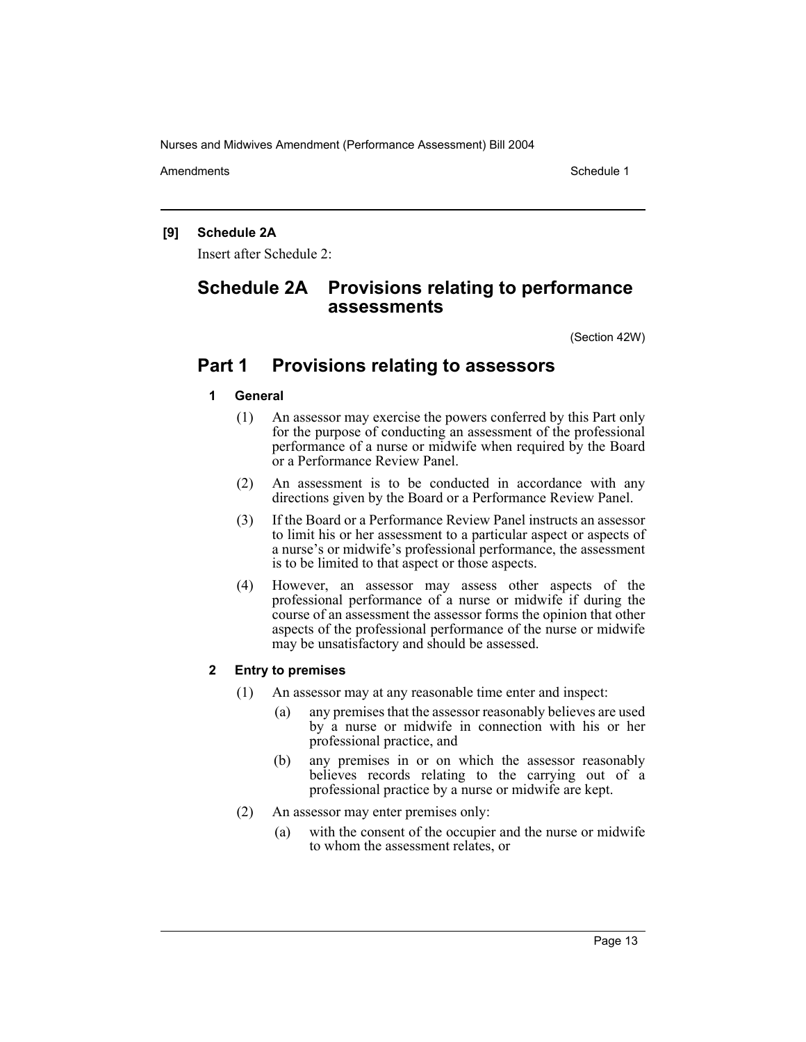Amendments **Schedule 1** and the set of the set of the set of the set of the set of the set of the set of the set of the set of the set of the set of the set of the set of the set of the set of the set of the set of the set

## **[9] Schedule 2A**

Insert after Schedule 2:

# **Schedule 2A Provisions relating to performance assessments**

(Section 42W)

## **Part 1 Provisions relating to assessors**

- **1 General**
	- (1) An assessor may exercise the powers conferred by this Part only for the purpose of conducting an assessment of the professional performance of a nurse or midwife when required by the Board or a Performance Review Panel.
	- (2) An assessment is to be conducted in accordance with any directions given by the Board or a Performance Review Panel.
	- (3) If the Board or a Performance Review Panel instructs an assessor to limit his or her assessment to a particular aspect or aspects of a nurse's or midwife's professional performance, the assessment is to be limited to that aspect or those aspects.
	- (4) However, an assessor may assess other aspects of the professional performance of a nurse or midwife if during the course of an assessment the assessor forms the opinion that other aspects of the professional performance of the nurse or midwife may be unsatisfactory and should be assessed.

## **2 Entry to premises**

- (1) An assessor may at any reasonable time enter and inspect:
	- (a) any premises that the assessor reasonably believes are used by a nurse or midwife in connection with his or her professional practice, and
	- (b) any premises in or on which the assessor reasonably believes records relating to the carrying out of a professional practice by a nurse or midwife are kept.
- (2) An assessor may enter premises only:
	- (a) with the consent of the occupier and the nurse or midwife to whom the assessment relates, or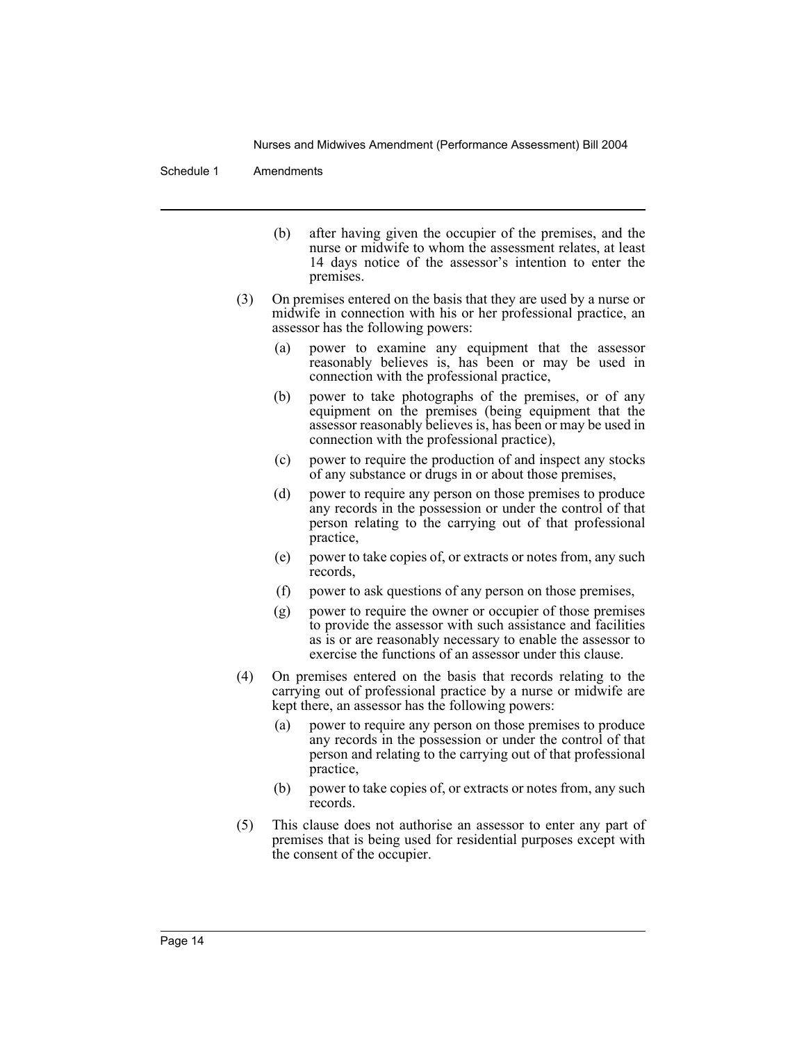#### Schedule 1 Amendments

- (b) after having given the occupier of the premises, and the nurse or midwife to whom the assessment relates, at least 14 days notice of the assessor's intention to enter the premises.
- (3) On premises entered on the basis that they are used by a nurse or midwife in connection with his or her professional practice, an assessor has the following powers:
	- (a) power to examine any equipment that the assessor reasonably believes is, has been or may be used in connection with the professional practice,
	- (b) power to take photographs of the premises, or of any equipment on the premises (being equipment that the assessor reasonably believes is, has been or may be used in connection with the professional practice),
	- (c) power to require the production of and inspect any stocks of any substance or drugs in or about those premises,
	- (d) power to require any person on those premises to produce any records in the possession or under the control of that person relating to the carrying out of that professional practice,
	- (e) power to take copies of, or extracts or notes from, any such records,
	- (f) power to ask questions of any person on those premises,
	- (g) power to require the owner or occupier of those premises to provide the assessor with such assistance and facilities as is or are reasonably necessary to enable the assessor to exercise the functions of an assessor under this clause.
- (4) On premises entered on the basis that records relating to the carrying out of professional practice by a nurse or midwife are kept there, an assessor has the following powers:
	- (a) power to require any person on those premises to produce any records in the possession or under the control of that person and relating to the carrying out of that professional practice,
	- (b) power to take copies of, or extracts or notes from, any such records.
- (5) This clause does not authorise an assessor to enter any part of premises that is being used for residential purposes except with the consent of the occupier.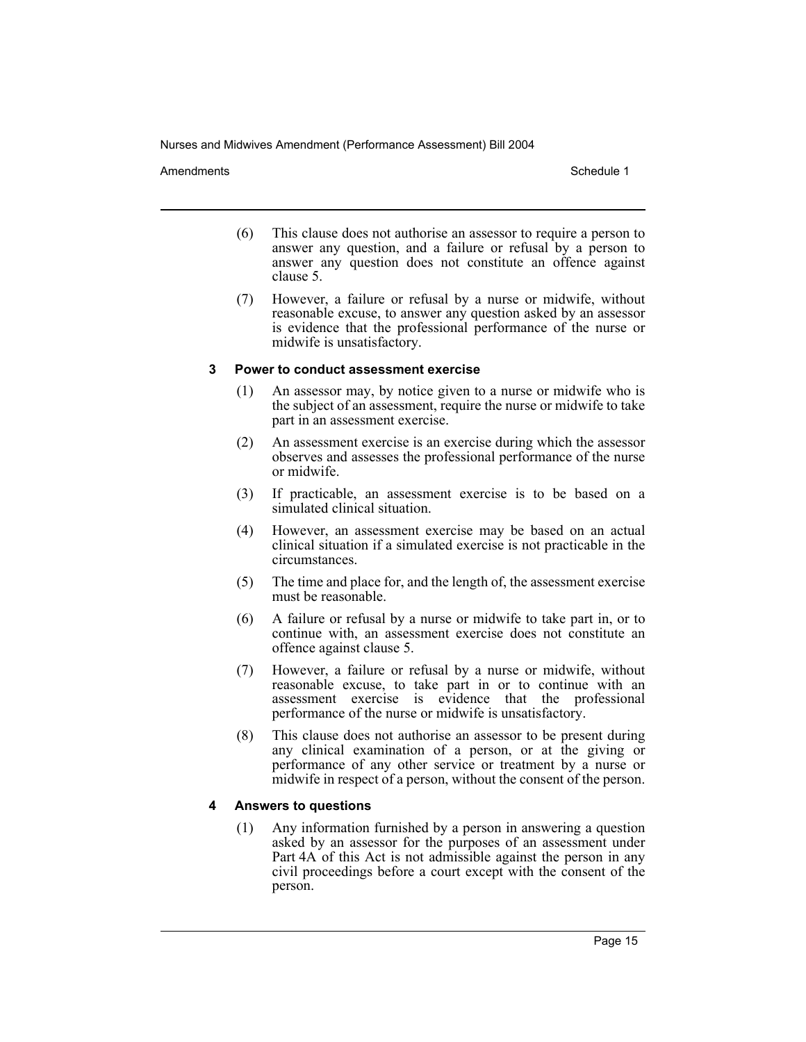Amendments **Amendments** Schedule 1

- (6) This clause does not authorise an assessor to require a person to answer any question, and a failure or refusal by a person to answer any question does not constitute an offence against clause 5.
- (7) However, a failure or refusal by a nurse or midwife, without reasonable excuse, to answer any question asked by an assessor is evidence that the professional performance of the nurse or midwife is unsatisfactory.

#### **3 Power to conduct assessment exercise**

- (1) An assessor may, by notice given to a nurse or midwife who is the subject of an assessment, require the nurse or midwife to take part in an assessment exercise.
- (2) An assessment exercise is an exercise during which the assessor observes and assesses the professional performance of the nurse or midwife.
- (3) If practicable, an assessment exercise is to be based on a simulated clinical situation.
- (4) However, an assessment exercise may be based on an actual clinical situation if a simulated exercise is not practicable in the circumstances.
- (5) The time and place for, and the length of, the assessment exercise must be reasonable.
- (6) A failure or refusal by a nurse or midwife to take part in, or to continue with, an assessment exercise does not constitute an offence against clause 5.
- (7) However, a failure or refusal by a nurse or midwife, without reasonable excuse, to take part in or to continue with an assessment exercise is evidence that the professional performance of the nurse or midwife is unsatisfactory.
- (8) This clause does not authorise an assessor to be present during any clinical examination of a person, or at the giving or performance of any other service or treatment by a nurse or midwife in respect of a person, without the consent of the person.

## **4 Answers to questions**

(1) Any information furnished by a person in answering a question asked by an assessor for the purposes of an assessment under Part 4A of this Act is not admissible against the person in any civil proceedings before a court except with the consent of the person.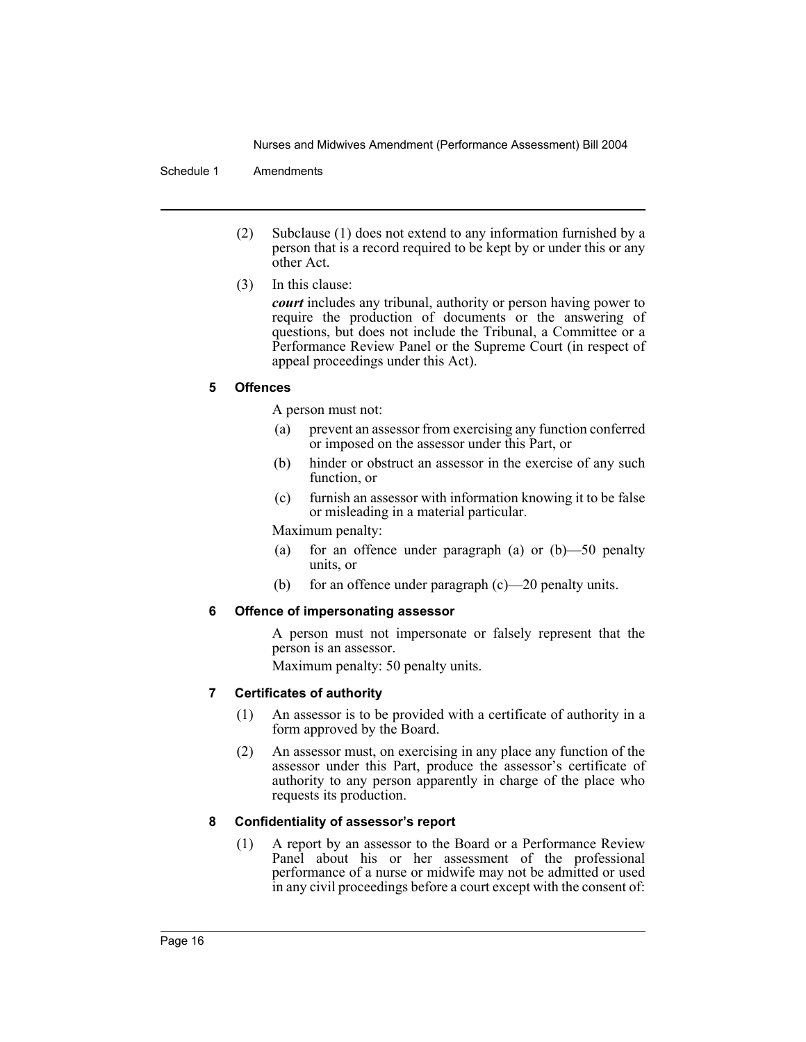#### Schedule 1 Amendments

- (2) Subclause (1) does not extend to any information furnished by a person that is a record required to be kept by or under this or any other Act.
- (3) In this clause:

*court* includes any tribunal, authority or person having power to require the production of documents or the answering of questions, but does not include the Tribunal, a Committee or a Performance Review Panel or the Supreme Court (in respect of appeal proceedings under this Act).

## **5 Offences**

A person must not:

- (a) prevent an assessor from exercising any function conferred or imposed on the assessor under this Part, or
- (b) hinder or obstruct an assessor in the exercise of any such function, or
- (c) furnish an assessor with information knowing it to be false or misleading in a material particular.

Maximum penalty:

- (a) for an offence under paragraph (a) or (b)—50 penalty units, or
- (b) for an offence under paragraph (c)—20 penalty units.

## **6 Offence of impersonating assessor**

A person must not impersonate or falsely represent that the person is an assessor.

Maximum penalty: 50 penalty units.

## **7 Certificates of authority**

- (1) An assessor is to be provided with a certificate of authority in a form approved by the Board.
- (2) An assessor must, on exercising in any place any function of the assessor under this Part, produce the assessor's certificate of authority to any person apparently in charge of the place who requests its production.

## **8 Confidentiality of assessor's report**

(1) A report by an assessor to the Board or a Performance Review Panel about his or her assessment of the professional performance of a nurse or midwife may not be admitted or used in any civil proceedings before a court except with the consent of: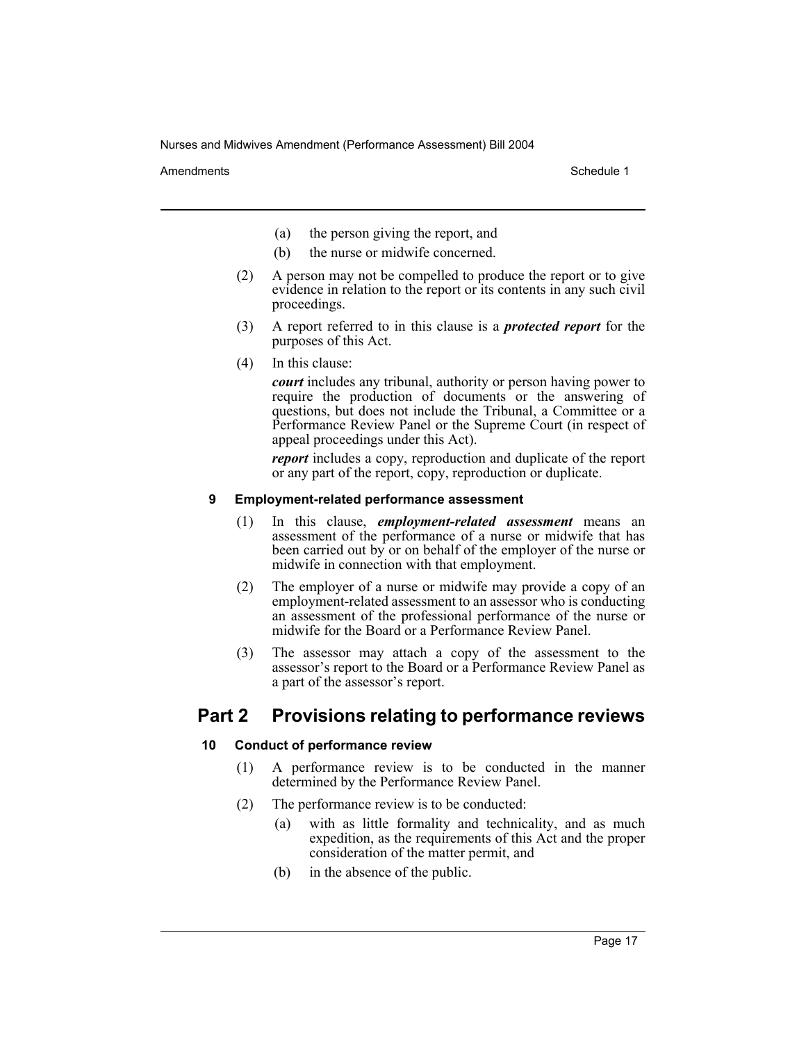Amendments **Amendments** Schedule 1

- (a) the person giving the report, and
- (b) the nurse or midwife concerned.
- (2) A person may not be compelled to produce the report or to give evidence in relation to the report or its contents in any such civil proceedings.
- (3) A report referred to in this clause is a *protected report* for the purposes of this Act.
- (4) In this clause:

*court* includes any tribunal, authority or person having power to require the production of documents or the answering of questions, but does not include the Tribunal, a Committee or a Performance Review Panel or the Supreme Court (in respect of appeal proceedings under this Act).

*report* includes a copy, reproduction and duplicate of the report or any part of the report, copy, reproduction or duplicate.

## **9 Employment-related performance assessment**

- (1) In this clause, *employment-related assessment* means an assessment of the performance of a nurse or midwife that has been carried out by or on behalf of the employer of the nurse or midwife in connection with that employment.
- (2) The employer of a nurse or midwife may provide a copy of an employment-related assessment to an assessor who is conducting an assessment of the professional performance of the nurse or midwife for the Board or a Performance Review Panel.
- (3) The assessor may attach a copy of the assessment to the assessor's report to the Board or a Performance Review Panel as a part of the assessor's report.

# **Part 2 Provisions relating to performance reviews**

## **10 Conduct of performance review**

- (1) A performance review is to be conducted in the manner determined by the Performance Review Panel.
- (2) The performance review is to be conducted:
	- (a) with as little formality and technicality, and as much expedition, as the requirements of this Act and the proper consideration of the matter permit, and
	- (b) in the absence of the public.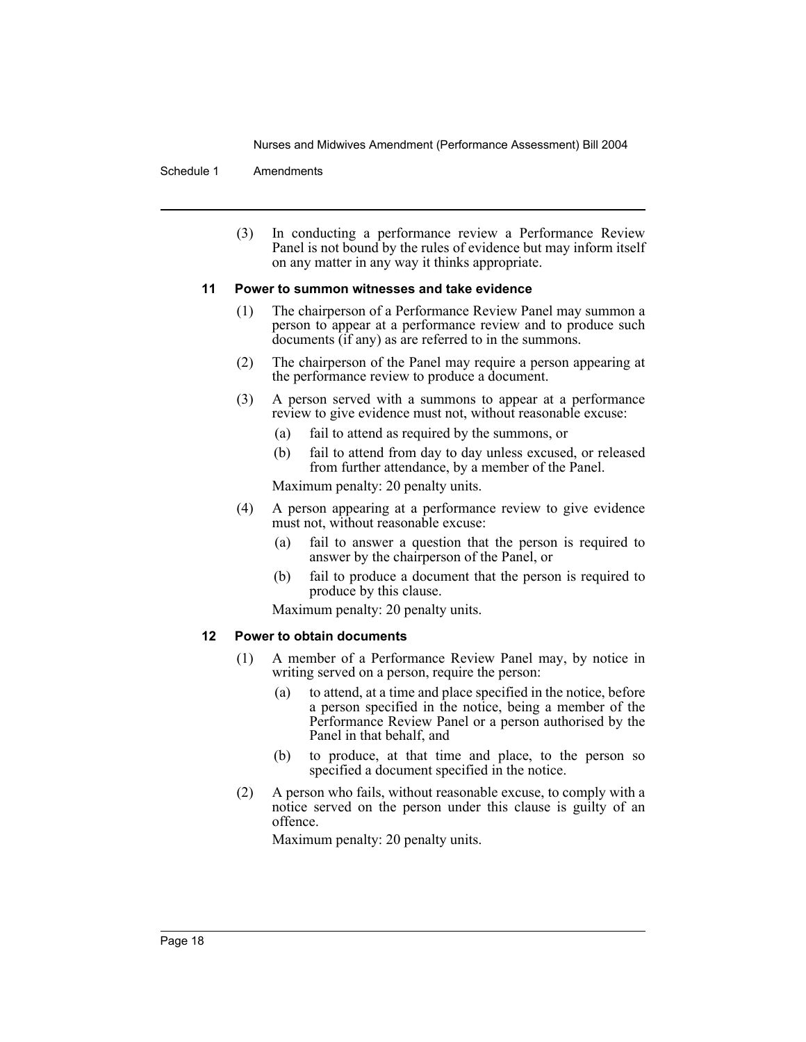#### Schedule 1 Amendments

(3) In conducting a performance review a Performance Review Panel is not bound by the rules of evidence but may inform itself on any matter in any way it thinks appropriate.

#### **11 Power to summon witnesses and take evidence**

- (1) The chairperson of a Performance Review Panel may summon a person to appear at a performance review and to produce such documents (if any) as are referred to in the summons.
- (2) The chairperson of the Panel may require a person appearing at the performance review to produce a document.
- (3) A person served with a summons to appear at a performance review to give evidence must not, without reasonable excuse:
	- (a) fail to attend as required by the summons, or
	- (b) fail to attend from day to day unless excused, or released from further attendance, by a member of the Panel.

Maximum penalty: 20 penalty units.

- (4) A person appearing at a performance review to give evidence must not, without reasonable excuse:
	- (a) fail to answer a question that the person is required to answer by the chairperson of the Panel, or
	- (b) fail to produce a document that the person is required to produce by this clause.

Maximum penalty: 20 penalty units.

#### **12 Power to obtain documents**

- (1) A member of a Performance Review Panel may, by notice in writing served on a person, require the person:
	- (a) to attend, at a time and place specified in the notice, before a person specified in the notice, being a member of the Performance Review Panel or a person authorised by the Panel in that behalf, and
	- (b) to produce, at that time and place, to the person so specified a document specified in the notice.
- (2) A person who fails, without reasonable excuse, to comply with a notice served on the person under this clause is guilty of an offence.

Maximum penalty: 20 penalty units.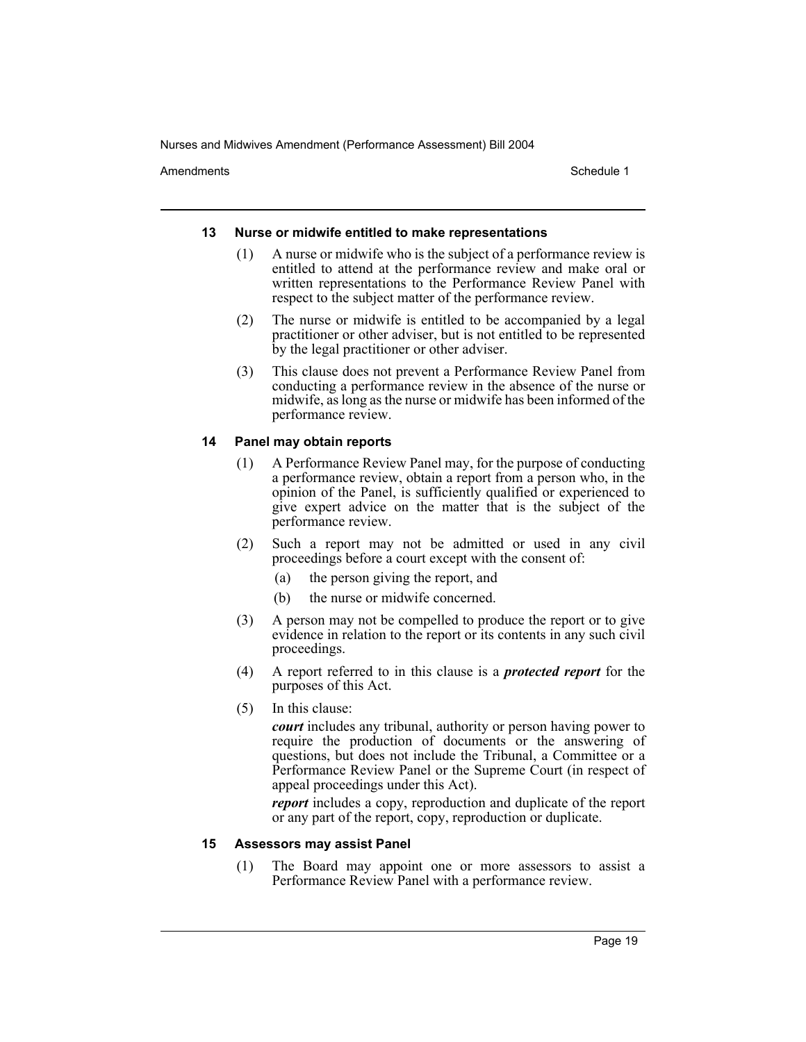Amendments **Schedule 1** and the set of the set of the set of the set of the set of the set of the set of the set of the set of the set of the set of the set of the set of the set of the set of the set of the set of the set

#### **13 Nurse or midwife entitled to make representations**

- (1) A nurse or midwife who is the subject of a performance review is entitled to attend at the performance review and make oral or written representations to the Performance Review Panel with respect to the subject matter of the performance review.
- (2) The nurse or midwife is entitled to be accompanied by a legal practitioner or other adviser, but is not entitled to be represented by the legal practitioner or other adviser.
- (3) This clause does not prevent a Performance Review Panel from conducting a performance review in the absence of the nurse or midwife, as long as the nurse or midwife has been informed of the performance review.

## **14 Panel may obtain reports**

- (1) A Performance Review Panel may, for the purpose of conducting a performance review, obtain a report from a person who, in the opinion of the Panel, is sufficiently qualified or experienced to give expert advice on the matter that is the subject of the performance review.
- (2) Such a report may not be admitted or used in any civil proceedings before a court except with the consent of:
	- (a) the person giving the report, and
	- (b) the nurse or midwife concerned.
- (3) A person may not be compelled to produce the report or to give evidence in relation to the report or its contents in any such civil proceedings.
- (4) A report referred to in this clause is a *protected report* for the purposes of this Act.
- (5) In this clause:

*court* includes any tribunal, authority or person having power to require the production of documents or the answering of questions, but does not include the Tribunal, a Committee or a Performance Review Panel or the Supreme Court (in respect of appeal proceedings under this Act).

*report* includes a copy, reproduction and duplicate of the report or any part of the report, copy, reproduction or duplicate.

#### **15 Assessors may assist Panel**

(1) The Board may appoint one or more assessors to assist a Performance Review Panel with a performance review.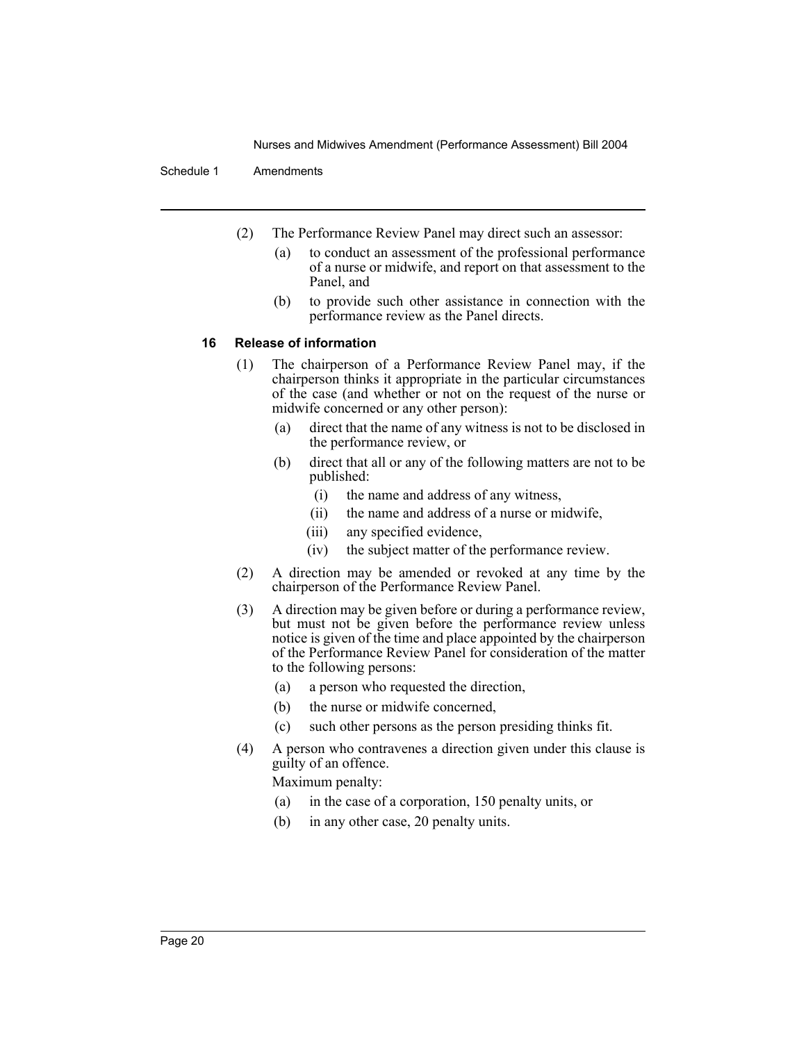#### Schedule 1 Amendments

- (2) The Performance Review Panel may direct such an assessor:
	- (a) to conduct an assessment of the professional performance of a nurse or midwife, and report on that assessment to the Panel, and
	- (b) to provide such other assistance in connection with the performance review as the Panel directs.

#### **16 Release of information**

- (1) The chairperson of a Performance Review Panel may, if the chairperson thinks it appropriate in the particular circumstances of the case (and whether or not on the request of the nurse or midwife concerned or any other person):
	- (a) direct that the name of any witness is not to be disclosed in the performance review, or
	- (b) direct that all or any of the following matters are not to be published:
		- (i) the name and address of any witness,
		- (ii) the name and address of a nurse or midwife,
		- (iii) any specified evidence,
		- (iv) the subject matter of the performance review.
- (2) A direction may be amended or revoked at any time by the chairperson of the Performance Review Panel.
- (3) A direction may be given before or during a performance review, but must not be given before the performance review unless notice is given of the time and place appointed by the chairperson of the Performance Review Panel for consideration of the matter to the following persons:
	- (a) a person who requested the direction,
	- (b) the nurse or midwife concerned,
	- (c) such other persons as the person presiding thinks fit.
- (4) A person who contravenes a direction given under this clause is guilty of an offence.

Maximum penalty:

- (a) in the case of a corporation, 150 penalty units, or
- (b) in any other case, 20 penalty units.